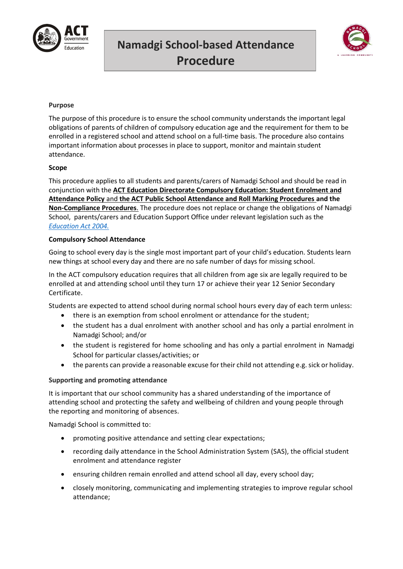

# **Namadgi School-based Attendance Procedure**



# **Purpose**

The purpose of this procedure is to ensure the school community understands the important legal obligations of parents of children of compulsory education age and the requirement for them to be enrolled in a registered school and attend school on a full-time basis. The procedure also contains important information about processes in place to support, monitor and maintain student attendance.

# **Scope**

This procedure applies to all students and parents/carers of Namadgi School and should be read in conjunction with the **ACT Education Directorate Compulsory Education: Student Enrolment and Attendance Policy** and **the ACT Public School Attendance and Roll Marking Procedures and the Non-Compliance Procedures**. The procedure does not replace or change the obligations of Namadgi School, parents/carers and Education Support Office under relevant legislation such as the *[Education Act 2004.](file:///C:/Users/rebecca%20bray/AppData/Local/Packages/Microsoft.MicrosoftEdge_8wekyb3d8bbwe/TempState/Downloads/2004-17%20(5).pdf)*

# **Compulsory School Attendance**

Going to school every day is the single most important part of your child's education. Students learn new things at school every day and there are no safe number of days for missing school.

In the ACT compulsory education requires that all children from age six are legally required to be enrolled at and attending school until they turn 17 or achieve their year 12 Senior Secondary Certificate.

Students are expected to attend school during normal school hours every day of each term unless:

- there is an exemption from school enrolment or attendance for the student;
- the student has a dual enrolment with another school and has only a partial enrolment in Namadgi School; and/or
- the student is registered for home schooling and has only a partial enrolment in Namadgi School for particular classes/activities; or
- the parents can provide a reasonable excuse for their child not attending e.g. sick or holiday.

# **Supporting and promoting attendance**

It is important that our school community has a shared understanding of the importance of attending school and protecting the safety and wellbeing of children and young people through the reporting and monitoring of absences.

Namadgi School is committed to:

- promoting positive attendance and setting clear expectations;
- recording daily attendance in the School Administration System (SAS), the official student enrolment and attendance register
- ensuring children remain enrolled and attend school all day, every school day;
- closely monitoring, communicating and implementing strategies to improve regular school attendance;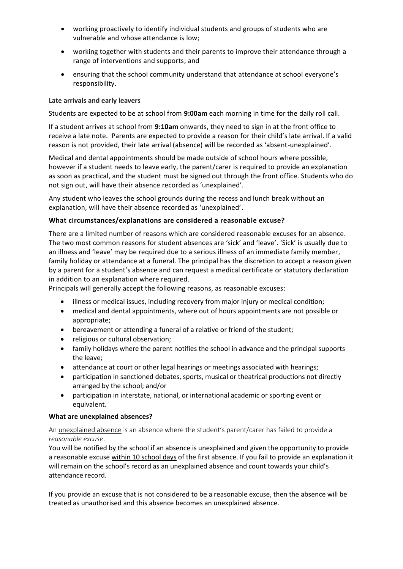- working proactively to identify individual students and groups of students who are vulnerable and whose attendance is low;
- working together with students and their parents to improve their attendance through a range of interventions and supports; and
- ensuring that the school community understand that attendance at school everyone's responsibility.

## **Late arrivals and early leavers**

Students are expected to be at school from **9:00am** each morning in time for the daily roll call.

If a student arrives at school from **9:10am** onwards, they need to sign in at the front office to receive a late note. Parents are expected to provide a reason for their child's late arrival. If a valid reason is not provided, their late arrival (absence) will be recorded as 'absent-unexplained'.

Medical and dental appointments should be made outside of school hours where possible, however if a student needs to leave early, the parent/carer is required to provide an explanation as soon as practical, and the student must be signed out through the front office. Students who do not sign out, will have their absence recorded as 'unexplained'.

Any student who leaves the school grounds during the recess and lunch break without an explanation, will have their absence recorded as 'unexplained'.

## **What circumstances/explanations are considered a reasonable excuse?**

There are a limited number of reasons which are considered reasonable excuses for an absence. The two most common reasons for student absences are 'sick' and 'leave'. 'Sick' is usually due to an illness and 'leave' may be required due to a serious illness of an immediate family member, family holiday or attendance at a funeral. The principal has the discretion to accept a reason given by a parent for a student's absence and can request a medical certificate or statutory declaration in addition to an explanation where required.

Principals will generally accept the following reasons, as reasonable excuses:

- illness or medical issues, including recovery from major injury or medical condition;
- medical and dental appointments, where out of hours appointments are not possible or appropriate;
- bereavement or attending a funeral of a relative or friend of the student;
- religious or cultural observation;
- family holidays where the parent notifies the school in advance and the principal supports the leave;
- attendance at court or other legal hearings or meetings associated with hearings;
- participation in sanctioned debates, sports, musical or theatrical productions not directly arranged by the school; and/or
- participation in interstate, national, or international academic or sporting event or equivalent.

#### **What are unexplained absences?**

An unexplained absence is an absence where the student's parent/carer has failed to provide a *reasonable excuse*.

You will be notified by the school if an absence is unexplained and given the opportunity to provide a reasonable excuse within 10 school days of the first absence. If you fail to provide an explanation it will remain on the school's record as an unexplained absence and count towards your child's attendance record.

If you provide an excuse that is not considered to be a reasonable excuse, then the absence will be treated as unauthorised and this absence becomes an unexplained absence.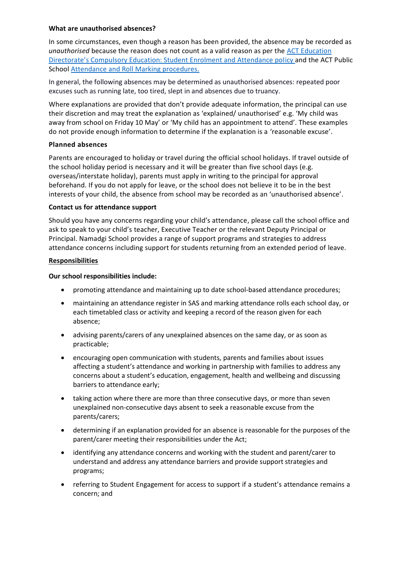#### **What are unauthorised absences?**

In some circumstances, even though a reason has been provided, the absence may be recorded as *unauthorised* because the reason does not count as a valid reason as per the ACT Education Directorate's Compulsory Education: Student Enrolment and Attendance policy and the ACT Public School Attendance and Roll Marking procedures.

In general, the following absences may be determined as unauthorised absences: repeated poor excuses such as running late, too tired, slept in and absences due to truancy.

Where explanations are provided that don't provide adequate information, the principal can use their discretion and may treat the explanation as 'explained/ unauthorised' e.g. 'My child was away from school on Friday 10 May' or 'My child has an appointment to attend'. These examples do not provide enough information to determine if the explanation is a 'reasonable excuse'.

## **Planned absences**

Parents are encouraged to holiday or travel during the official school holidays. If travel outside of the school holiday period is necessary and it will be greater than five school days (e.g. overseas/interstate holiday), parents must apply in writing to the principal for approval beforehand. If you do not apply for leave, or the school does not believe it to be in the best interests of your child, the absence from school may be recorded as an 'unauthorised absence'.

## **Contact us for attendance support**

Should you have any concerns regarding your child's attendance, please call the school office and ask to speak to your child's teacher, Executive Teacher or the relevant Deputy Principal or Principal. Namadgi School provides a range of support programs and strategies to address attendance concerns including support for students returning from an extended period of leave.

## **Responsibilities**

## **Our school responsibilities include:**

- promoting attendance and maintaining up to date school-based attendance procedures;
- maintaining an attendance register in SAS and marking attendance rolls each school day, or each timetabled class or activity and keeping a record of the reason given for each absence;
- advising parents/carers of any unexplained absences on the same day, or as soon as practicable;
- encouraging open communication with students, parents and families about issues affecting a student's attendance and working in partnership with families to address any concerns about a student's education, engagement, health and wellbeing and discussing barriers to attendance early;
- taking action where there are more than three consecutive days, or more than seven unexplained non-consecutive days absent to seek a reasonable excuse from the parents/carers;
- determining if an explanation provided for an absence is reasonable for the purposes of the parent/carer meeting their responsibilities under the Act;
- identifying any attendance concerns and working with the student and parent/carer to understand and address any attendance barriers and provide support strategies and programs;
- referring to Student Engagement for access to support if a student's attendance remains a concern; and